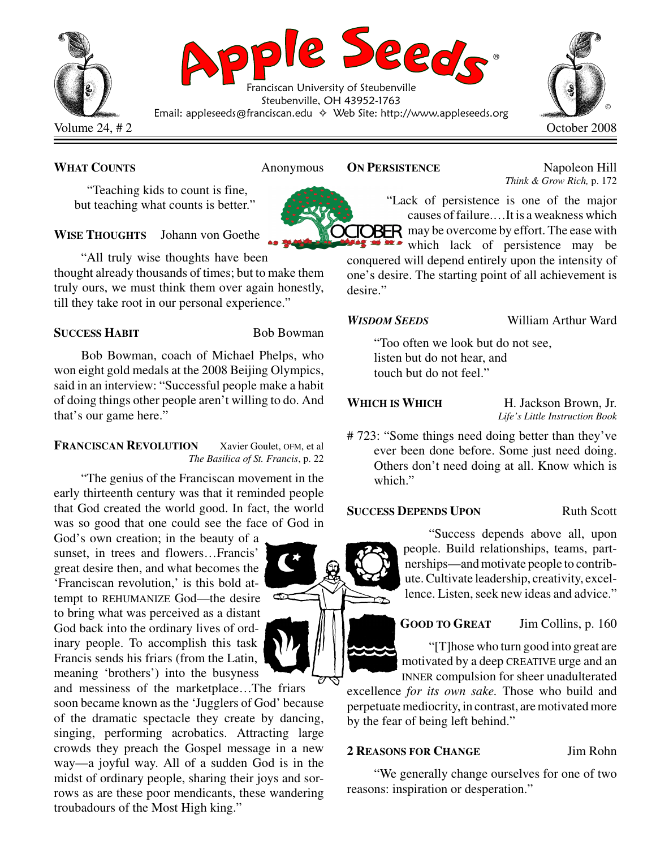

## **WHAT COUNTS** Anonymous

"Teaching kids to count is fine, but teaching what counts is better."

## **WISE THOUGHTS** Johann von Goethe

"All truly wise thoughts have been thought already thousands of times; but to make them truly ours, we must think them over again honestly, till they take root in our personal experience."

## **SUCCESS HABIT** Bob Bowman

Bob Bowman, coach of Michael Phelps, who won eight gold medals at the 2008 Beijing Olympics, said in an interview: "Successful people make a habit of doing things other people aren't willing to do. And that's our game here."

### **FRANCISCAN REVOLUTION** Xavier Goulet, OFM, et al *The Basilica of St. Francis*, p. 22

"The genius of the Franciscan movement in the early thirteenth century was that it reminded people that God created the world good. In fact, the world was so good that one could see the face of God in

God's own creation; in the beauty of a sunset, in trees and flowers…Francis' great desire then, and what becomes the 'Franciscan revolution,' is this bold attempt to REHUMANIZE God—the desire to bring what was perceived as a distant God back into the ordinary lives of ordinary people. To accomplish this task Francis sends his friars (from the Latin, meaning 'brothers') into the busyness

and messiness of the marketplace…The friars soon became known as the 'Jugglers of God' because of the dramatic spectacle they create by dancing, singing, performing acrobatics. Attracting large crowds they preach the Gospel message in a new way—a joyful way. All of a sudden God is in the midst of ordinary people, sharing their joys and sorrows as are these poor mendicants, these wandering troubadours of the Most High king."



**ON PERSISTENCE** Napoleon Hill *Think & Grow Rich,* p. 172

"Lack of persistence is one of the major causes offailure.…It is a weakness which **TOBER** may be overcome by effort. The ease with which lack of persistence may be

conquered will depend entirely upon the intensity of one's desire. The starting point of all achievement is desire."

### *WISDOM SEEDS* William Arthur Ward

"Too often we look but do not see, listen but do not hear, and touch but do not feel."

**WHICH IS WHICH** H. Jackson Brown, Jr. *Life's Little Instruction Book*

# 723: "Some things need doing better than they've ever been done before. Some just need doing. Others don't need doing at all. Know which is which."

### **SUCCESS DEPENDS UPON** Ruth Scott

"Success depends above all, upon people. Build relationships, teams, partnerships—andmotivate people to contribute.Cultivate leadership, creativity, excellence. Listen, seek new ideas and advice."

# **GOOD TO GREAT** Jim Collins, p. 160

"[T]hose who turn good into great are motivated by a deep CREATIVE urge and an INNER compulsion for sheer unadulterated

excellence *for its own sake.* Those who build and perpetuate mediocrity, in contrast, are motivated more by the fear of being left behind."

## **2 REASONS FOR CHANGE** Jim Rohn

"We generally change ourselves for one of two reasons: inspiration or desperation."